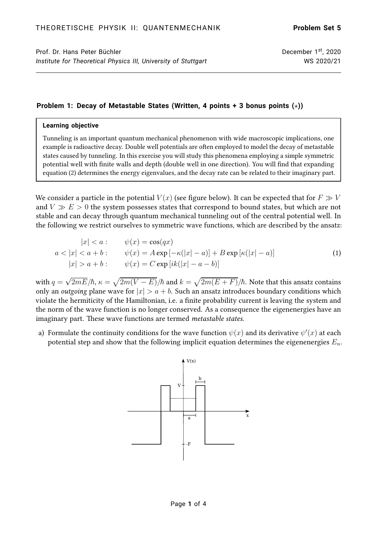# **Problem 1: Decay of Metastable States (Written, 4 points + 3 bonus points**  $(\star)$ **)**

## **Learning objective**

Tunneling is an important quantum mechanical phenomenon with wide macroscopic implications, one example is radioactive decay. Double well potentials are often employed to model the decay of metastable states caused by tunneling. In this exercise you will study this phenomena employing a simple symmetric potential well with finite walls and depth (double well in one direction). You will find that expanding equation [\(2\)](#page-1-0) determines the energy eigenvalues, and the decay rate can be related to their imaginary part.

We consider a particle in the potential  $V(x)$  (see figure below). It can be expected that for  $F \gg V$ and  $V \gg E > 0$  the system possesses states that correspond to bound states, but which are not stable and can decay through quantum mechanical tunneling out of the central potential well. In the following we restrict ourselves to symmetric wave functions, which are described by the ansatz:

$$
|x| < a: \qquad \psi(x) = \cos(qx)
$$
\n
$$
a < |x| < a + b: \qquad \psi(x) = A \exp\left[-\kappa(|x| - a)\right] + B \exp\left[\kappa(|x| - a)\right] \tag{1}
$$
\n
$$
|x| > a + b: \qquad \psi(x) = C \exp\left[ik(|x| - a - b)\right] \tag{2}
$$

with  $q =$ √  $\sqrt{2mE}/\hbar$ ,  $\kappa=\sqrt{2m(V-E)}/\hbar$  and  $k=\sqrt{2m(E+F)}/\hbar.$  Note that this ansatz contains only an *outgoing* plane wave for  $|x| > a + b$ . Such an ansatz introduces boundary conditions which violate the hermiticity of the Hamiltonian, i.e. a finite probability current is leaving the system and the norm of the wave function is no longer conserved. As a consequence the eigenenergies have an imaginary part. These wave functions are termed metastable states.

a) Formulate the continuity conditions for the wave function  $\psi(x)$  and its derivative  $\psi'(x)$  at each potential step and show that the following implicit equation determines the eigenenergies  $E_n$ .

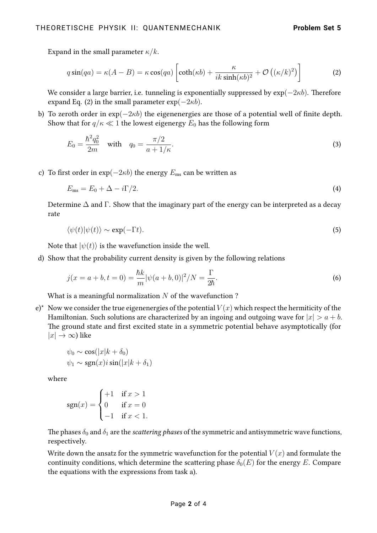Expand in the small parameter  $\kappa/k$ .

<span id="page-1-0"></span>
$$
q\sin(qa) = \kappa(A - B) = \kappa\cos(qa)\left[\coth(\kappa b) + \frac{\kappa}{ik\sinh(\kappa b)^2} + \mathcal{O}\left((\kappa/k)^2\right)\right]
$$
 (2)

We consider a large barrier, i.e. tunneling is exponentially suppressed by  $exp(-2\kappa b)$ . Therefore expand Eq. [\(2\)](#page-1-0) in the small parameter  $\exp(-2\kappa b)$ .

b) To zeroth order in  $exp(-2\kappa b)$  the eigenenergies are those of a potential well of finite depth. Show that for  $q/\kappa \ll 1$  the lowest eigenergy  $E_0$  has the following form

$$
E_0 = \frac{\hbar^2 q_0^2}{2m} \quad \text{with} \quad q_0 = \frac{\pi/2}{a + 1/\kappa}.\tag{3}
$$

c) To first order in  $\exp(-2\kappa b)$  the energy  $E_{\text{ms}}$  can be written as

$$
E_{\rm ms} = E_0 + \Delta - i\Gamma/2. \tag{4}
$$

Determine  $\Delta$  and  $\Gamma$ . Show that the imaginary part of the energy can be interpreted as a decay rate

$$
\langle \psi(t) | \psi(t) \rangle \sim \exp(-\Gamma t). \tag{5}
$$

Note that  $|\psi(t)\rangle$  is the wavefunction inside the well.

d) Show that the probability current density is given by the following relations

$$
j(x = a + b, t = 0) = \frac{\hbar k}{m} |\psi(a + b, 0)|^2 / N = \frac{\Gamma}{2\hbar}.
$$
\n(6)

What is a meaningful normalization  $N$  of the wavefunction ?

 $e^*$  Now we consider the true eigenenergies of the potential  $V(x)$  which respect the hermiticity of the Hamiltonian. Such solutions are characterized by an ingoing and outgoing wave for  $|x| > a + b$ . The ground state and first excited state in a symmetric potential behave asymptotically (for  $|x| \to \infty$ ) like

$$
\psi_0 \sim \cos(|x|k + \delta_0)
$$
  

$$
\psi_1 \sim \text{sgn}(x)i\sin(|x|k + \delta_1)
$$

where

$$
sgn(x) = \begin{cases} +1 & \text{if } x > 1\\ 0 & \text{if } x = 0\\ -1 & \text{if } x < 1. \end{cases}
$$

The phases  $\delta_0$  and  $\delta_1$  are the scattering phases of the symmetric and antisymmetric wave functions, respectively.

Write down the ansatz for the symmetric wavefunction for the potential  $V(x)$  and formulate the continuity conditions, which determine the scattering phase  $\delta_0(E)$  for the energy E. Compare the equations with the expressions from task a).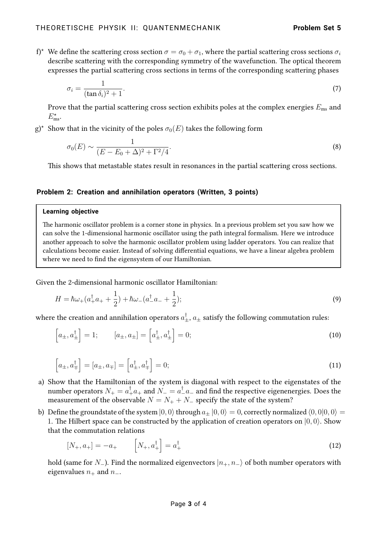f)<sup>\*</sup> We define the scattering cross section  $\sigma = \sigma_0 + \sigma_1$ , where the partial scattering cross sections  $\sigma_i$ describe scattering with the corresponding symmetry of the wavefunction. The optical theorem expresses the partial scattering cross sections in terms of the corresponding scattering phases

$$
\sigma_i = \frac{1}{(\tan \delta_i)^2 + 1}.\tag{7}
$$

Prove that the partial scattering cross section exhibits poles at the complex energies  $E_{\text{ms}}$  and  $E_{\text{ms}}^{\star}$ .

g)<sup>\*</sup> Show that in the vicinity of the poles  $\sigma_0(E)$  takes the following form

$$
\sigma_0(E) \sim \frac{1}{(E - E_0 + \Delta)^2 + \Gamma^2/4}.
$$
\n(8)

This shows that metastable states result in resonances in the partial scattering cross sections.

# **Problem 2: Creation and annihilation operators (Written, 3 points)**

# **Learning objective**

The harmonic oscillator problem is a corner stone in physics. In a previous problem set you saw how we can solve the 1-dimensional harmonic oscillator using the path integral formalism. Here we introduce another approach to solve the harmonic oscillator problem using ladder operators. You can realize that calculations become easier. Instead of solving differential equations, we have a linear algebra problem where we need to find the eigensystem of our Hamiltonian.

Given the 2-dimensional harmonic oscillator Hamiltonian:

$$
H = \hbar\omega_{+}(a_{+}^{\dagger}a_{+} + \frac{1}{2}) + \hbar\omega_{-}(a_{-}^{\dagger}a_{-} + \frac{1}{2});
$$
\n(9)

where the creation and annihilation operators  $a_\pm^\dagger,$   $a_\pm$  satisfy the following commutation rules:

$$
\left[a_{\pm}, a_{\pm}^{\dagger}\right] = 1; \qquad \left[a_{\pm}, a_{\pm}\right] = \left[a_{\pm}^{\dagger}, a_{\pm}^{\dagger}\right] = 0; \tag{10}
$$

$$
\left[a_{\pm}, a_{\mp}^{\dagger}\right] = \left[a_{\pm}, a_{\mp}\right] = \left[a_{\pm}^{\dagger}, a_{\mp}^{\dagger}\right] = 0;
$$
\n(11)

- a) Show that the Hamiltonian of the system is diagonal with respect to the eigenstates of the number operators  $N_+ = a_+^{\dagger} a_+$  and  $N_- = a_-^{\dagger} a_-$  and find the respective eigenenergies. Does the measurement of the observable  $N = N_{+} + N_{-}$  specify the state of the system?
- b) Define the groundstate of the system  $|0, 0\rangle$  through  $a_{+} |0, 0\rangle = 0$ , correctly normalized  $\langle 0, 0|0, 0\rangle =$ 1. The Hilbert space can be constructed by the application of creation operators on  $|0, 0\rangle$ . Show that the commutation relations

$$
[N_{+}, a_{+}] = -a_{+} \qquad \left[N_{+}, a_{+}^{\dagger}\right] = a_{+}^{\dagger} \tag{12}
$$

hold (same for N−). Find the normalized eigenvectors  $|n_+, n_-\rangle$  of both number operators with eigenvalues  $n_+$  and  $n_-$ .